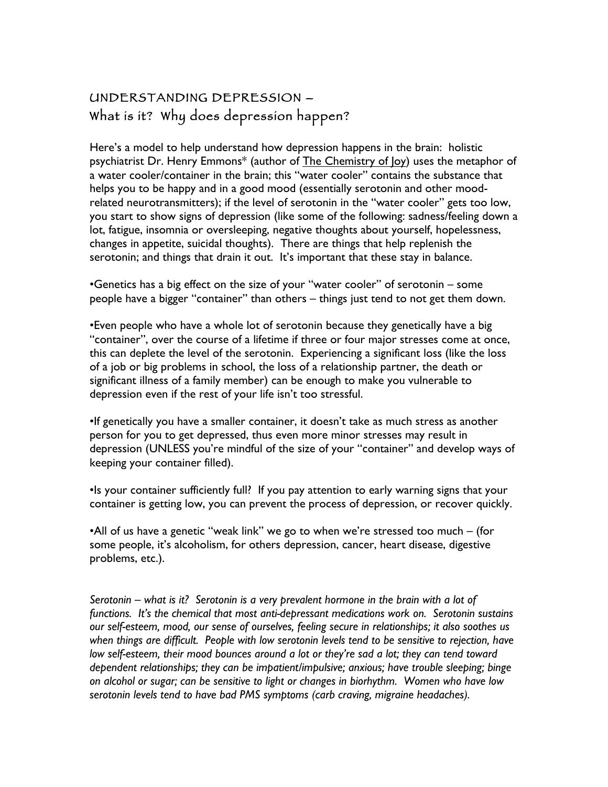# UNDERSTANDING DEPRESSION – What is it? Why does depression happen?

Here's a model to help understand how depression happens in the brain: holistic psychiatrist Dr. Henry Emmons\* (author of The Chemistry of Joy) uses the metaphor of a water cooler/container in the brain; this "water cooler" contains the substance that helps you to be happy and in a good mood (essentially serotonin and other moodrelated neurotransmitters); if the level of serotonin in the "water cooler" gets too low, you start to show signs of depression (like some of the following: sadness/feeling down a lot, fatigue, insomnia or oversleeping, negative thoughts about yourself, hopelessness, changes in appetite, suicidal thoughts). There are things that help replenish the serotonin; and things that drain it out. It's important that these stay in balance.

•Genetics has a big effect on the size of your "water cooler" of serotonin – some people have a bigger "container" than others – things just tend to not get them down.

•Even people who have a whole lot of serotonin because they genetically have a big "container", over the course of a lifetime if three or four major stresses come at once, this can deplete the level of the serotonin. Experiencing a significant loss (like the loss of a job or big problems in school, the loss of a relationship partner, the death or significant illness of a family member) can be enough to make you vulnerable to depression even if the rest of your life isn't too stressful.

•If genetically you have a smaller container, it doesn't take as much stress as another person for you to get depressed, thus even more minor stresses may result in depression (UNLESS you're mindful of the size of your "container" and develop ways of keeping your container filled).

•Is your container sufficiently full? If you pay attention to early warning signs that your container is getting low, you can prevent the process of depression, or recover quickly.

•All of us have a genetic "weak link" we go to when we're stressed too much – (for some people, it's alcoholism, for others depression, cancer, heart disease, digestive problems, etc.).

*Serotonin – what is it? Serotonin is a very prevalent hormone in the brain with a lot of functions. It's the chemical that most anti-depressant medications work on. Serotonin sustains our self-esteem, mood, our sense of ourselves, feeling secure in relationships; it also soothes us when things are difficult. People with low serotonin levels tend to be sensitive to rejection, have low self-esteem, their mood bounces around a lot or they're sad a lot; they can tend toward dependent relationships; they can be impatient/impulsive; anxious; have trouble sleeping; binge on alcohol or sugar; can be sensitive to light or changes in biorhythm. Women who have low serotonin levels tend to have bad PMS symptoms (carb craving, migraine headaches).*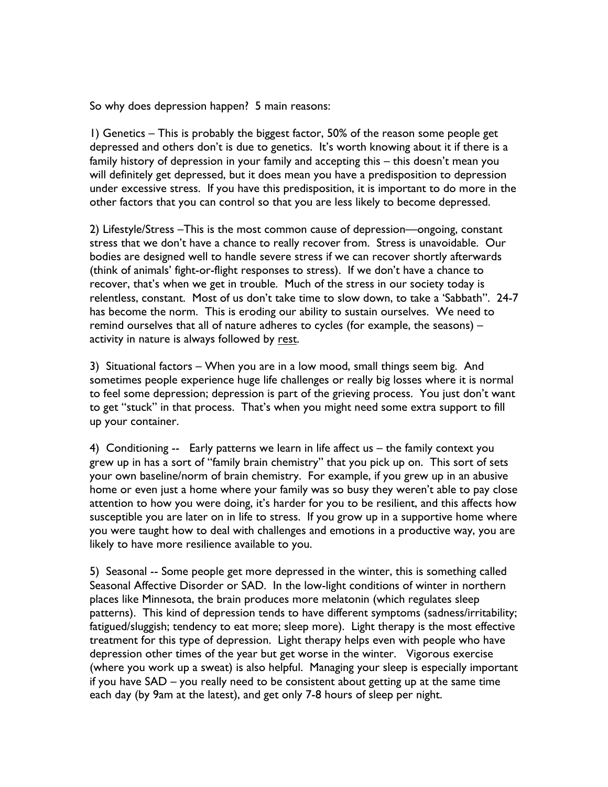So why does depression happen? 5 main reasons:

1) Genetics – This is probably the biggest factor, 50% of the reason some people get depressed and others don't is due to genetics. It's worth knowing about it if there is a family history of depression in your family and accepting this – this doesn't mean you will definitely get depressed, but it does mean you have a predisposition to depression under excessive stress. If you have this predisposition, it is important to do more in the other factors that you can control so that you are less likely to become depressed.

2) Lifestyle/Stress –This is the most common cause of depression—ongoing, constant stress that we don't have a chance to really recover from. Stress is unavoidable. Our bodies are designed well to handle severe stress if we can recover shortly afterwards (think of animals' fight-or-flight responses to stress). If we don't have a chance to recover, that's when we get in trouble. Much of the stress in our society today is relentless, constant. Most of us don't take time to slow down, to take a 'Sabbath". 24-7 has become the norm. This is eroding our ability to sustain ourselves. We need to remind ourselves that all of nature adheres to cycles (for example, the seasons) – activity in nature is always followed by rest.

3) Situational factors – When you are in a low mood, small things seem big. And sometimes people experience huge life challenges or really big losses where it is normal to feel some depression; depression is part of the grieving process. You just don't want to get "stuck" in that process. That's when you might need some extra support to fill up your container.

4) Conditioning -- Early patterns we learn in life affect us – the family context you grew up in has a sort of "family brain chemistry" that you pick up on. This sort of sets your own baseline/norm of brain chemistry. For example, if you grew up in an abusive home or even just a home where your family was so busy they weren't able to pay close attention to how you were doing, it's harder for you to be resilient, and this affects how susceptible you are later on in life to stress. If you grow up in a supportive home where you were taught how to deal with challenges and emotions in a productive way, you are likely to have more resilience available to you.

5) Seasonal -- Some people get more depressed in the winter, this is something called Seasonal Affective Disorder or SAD. In the low-light conditions of winter in northern places like Minnesota, the brain produces more melatonin (which regulates sleep patterns). This kind of depression tends to have different symptoms (sadness/irritability; fatigued/sluggish; tendency to eat more; sleep more). Light therapy is the most effective treatment for this type of depression. Light therapy helps even with people who have depression other times of the year but get worse in the winter. Vigorous exercise (where you work up a sweat) is also helpful. Managing your sleep is especially important if you have SAD – you really need to be consistent about getting up at the same time each day (by 9am at the latest), and get only 7-8 hours of sleep per night.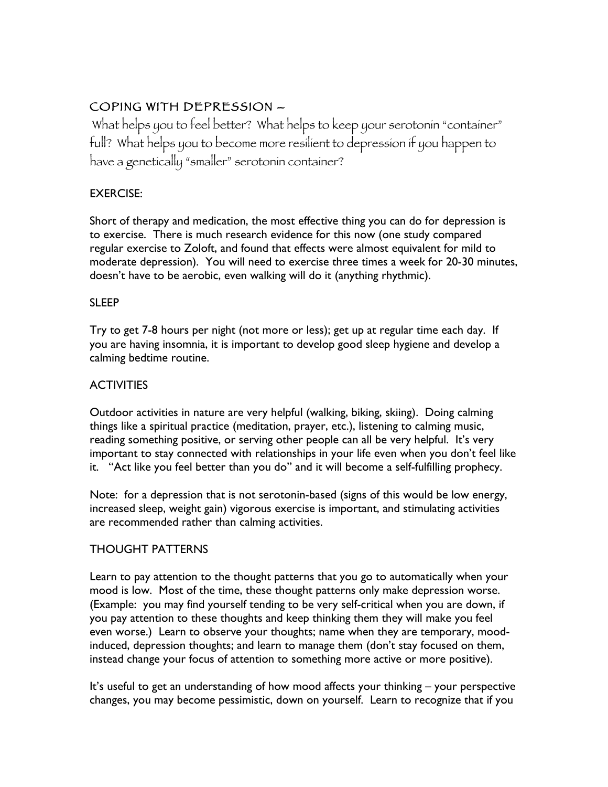# COPING WITH DEPRESSION –

What helps you to feel better? What helps to keep your serotonin "container" full? What helps you to become more resilient to depression if you happen to have a genetically "smaller" serotonin container?

### EXERCISE:

Short of therapy and medication, the most effective thing you can do for depression is to exercise. There is much research evidence for this now (one study compared regular exercise to Zoloft, and found that effects were almost equivalent for mild to moderate depression). You will need to exercise three times a week for 20-30 minutes, doesn't have to be aerobic, even walking will do it (anything rhythmic).

### SLEEP

Try to get 7-8 hours per night (not more or less); get up at regular time each day. If you are having insomnia, it is important to develop good sleep hygiene and develop a calming bedtime routine.

## **ACTIVITIES**

Outdoor activities in nature are very helpful (walking, biking, skiing). Doing calming things like a spiritual practice (meditation, prayer, etc.), listening to calming music, reading something positive, or serving other people can all be very helpful. It's very important to stay connected with relationships in your life even when you don't feel like it. "Act like you feel better than you do" and it will become a self-fulfilling prophecy.

Note: for a depression that is not serotonin-based (signs of this would be low energy, increased sleep, weight gain) vigorous exercise is important, and stimulating activities are recommended rather than calming activities.

### THOUGHT PATTERNS

Learn to pay attention to the thought patterns that you go to automatically when your mood is low. Most of the time, these thought patterns only make depression worse. (Example: you may find yourself tending to be very self-critical when you are down, if you pay attention to these thoughts and keep thinking them they will make you feel even worse.) Learn to observe your thoughts; name when they are temporary, moodinduced, depression thoughts; and learn to manage them (don't stay focused on them, instead change your focus of attention to something more active or more positive).

It's useful to get an understanding of how mood affects your thinking – your perspective changes, you may become pessimistic, down on yourself. Learn to recognize that if you